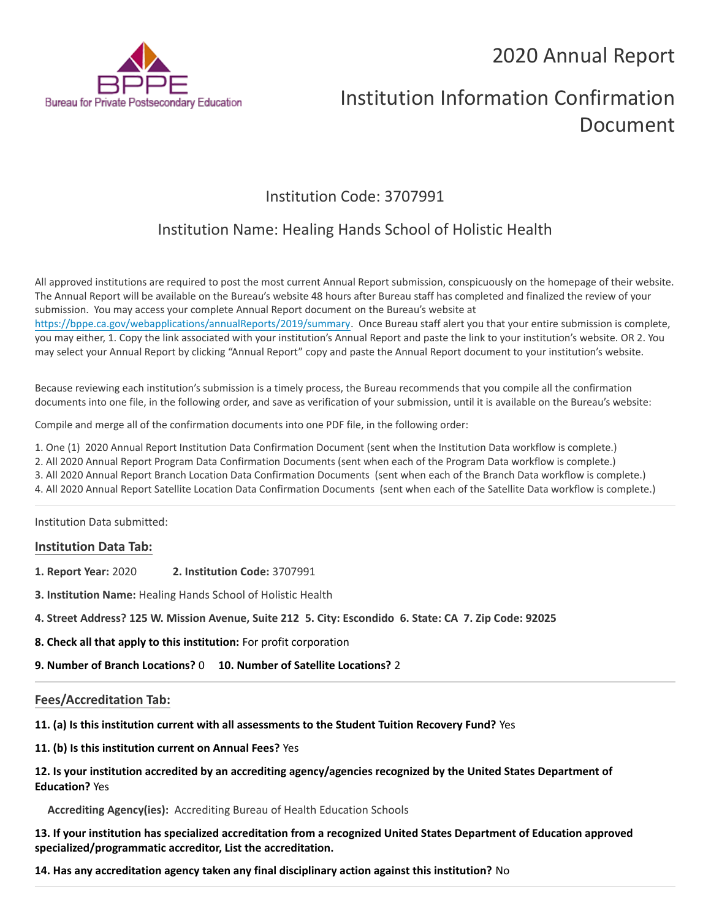## 2020 Annual Report



# Institution Information Confirmation Document

## Institution Code: 3707991

## Institution Name: Healing Hands School of Holistic Health

All approved institutions are required to post the most current Annual Report submission, conspicuously on the homepage of their website. The Annual Report will be available on the Bureau's website 48 hours after Bureau staff has completed and finalized the review of your submission. You may access your complete Annual Report document on the Bureau's website at <https://bppe.ca.gov/webapplications/annualReports/2019/summary>. Once Bureau staff alert you that your entire submission is complete, you may either, 1. Copy the link associated with your institution's Annual Report and paste the link to your institution's website. OR 2. You may select your Annual Report by clicking "Annual Report" copy and paste the Annual Report document to your institution's website.

Because reviewing each institution's submission is a timely process, the Bureau recommends that you compile all the confirmation documents into one file, in the following order, and save as verification of your submission, until it is available on the Bureau's website:

Compile and merge all of the confirmation documents into one PDF file, in the following order:

- 1. One (1) 2020 Annual Report Institution Data Confirmation Document (sent when the Institution Data workflow is complete.)
- 2. All 2020 Annual Report Program Data Confirmation Documents (sent when each of the Program Data workflow is complete.)
- 3. All 2020 Annual Report Branch Location Data Confirmation Documents (sent when each of the Branch Data workflow is complete.)
- 4. All 2020 Annual Report Satellite Location Data Confirmation Documents (sent when each of the Satellite Data workflow is complete.)

Institution Data submitted:

#### **Institution Data Tab:**

- **1. Report Year:** 2020 **2. Institution Code:** 3707991
- **3. Institution Name:** Healing Hands School of Holistic Health
- **4. Street Address? 125 W. Mission Avenue, Suite 212 5. City: Escondido 6. State: CA 7. Zip Code: 92025**
- **8. Check all that apply to this institution:** For profit corporation
- **9. Number of Branch Locations?** 0 **10. Number of Satellite Locations?** 2

#### **Fees/Accreditation Tab:**

- **11. (a) Is this institution current with all assessments to the Student Tuition Recovery Fund?** Yes
- **11. (b) Is this institution current on Annual Fees?** Yes

#### **12. Is your institution accredited by an accrediting agency/agencies recognized by the United States Department of Education?** Yes

**Accrediting Agency(ies):** Accrediting Bureau of Health Education Schools

**13. If your institution has specialized accreditation from a recognized United States Department of Education approved specialized/programmatic accreditor, List the accreditation.**

**14. Has any accreditation agency taken any final disciplinary action against this institution?** No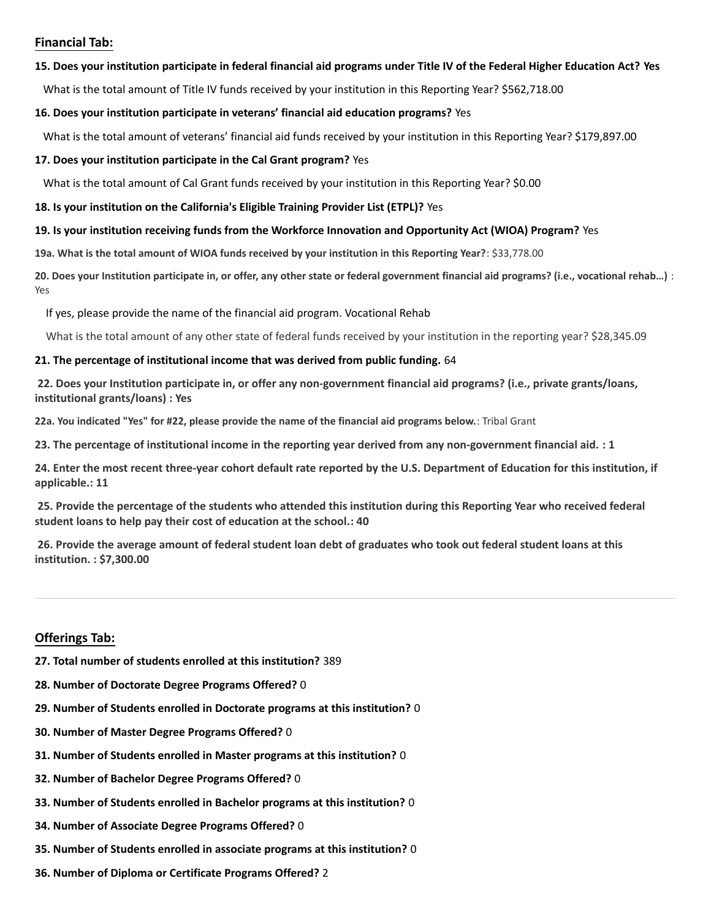#### **Financial Tab:**

#### **15. Does your institution participate in federal financial aid programs under Title IV of the Federal Higher Education Act? Yes**

What is the total amount of Title IV funds received by your institution in this Reporting Year? \$562,718.00

#### **16. Does your institution participate in veterans' financial aid education programs?** Yes

What is the total amount of veterans' financial aid funds received by your institution in this Reporting Year? \$179,897.00

#### **17. Does your institution participate in the Cal Grant program?** Yes

What is the total amount of Cal Grant funds received by your institution in this Reporting Year? \$0.00

**18. Is your institution on the California's Eligible Training Provider List (ETPL)?** Yes

#### **19. Is your institution receiving funds from the Workforce Innovation and Opportunity Act (WIOA) Program?** Yes

**19a. What is the total amount of WIOA funds received by your institution in this Reporting Year?**: \$33,778.00

**20. Does your Institution participate in, or offer, any other state or federal government financial aid programs? (i.e., vocational rehab…)** : Yes

If yes, please provide the name of the financial aid program. Vocational Rehab

What is the total amount of any other state of federal funds received by your institution in the reporting year? \$28,345.09

#### **21. The percentage of institutional income that was derived from public funding.** 64

**22. Does your Institution participate in, or offer any non-government financial aid programs? (i.e., private grants/loans, institutional grants/loans) : Yes**

**22a. You indicated "Yes" for #22, please provide the name of the financial aid programs below.**: Tribal Grant

**23. The percentage of institutional income in the reporting year derived from any non-government financial aid. : 1**

**24. Enter the most recent three-year cohort default rate reported by the U.S. Department of Education for this institution, if applicable.: 11**

**25. Provide the percentage of the students who attended this institution during this Reporting Year who received federal student loans to help pay their cost of education at the school.: 40**

**26. Provide the average amount of federal student loan debt of graduates who took out federal student loans at this institution. : \$7,300.00**

#### **Offerings Tab:**

- **27. Total number of students enrolled at this institution?** 389
- **28. Number of Doctorate Degree Programs Offered?** 0
- **29. Number of Students enrolled in Doctorate programs at this institution?** 0
- **30. Number of Master Degree Programs Offered?** 0
- **31. Number of Students enrolled in Master programs at this institution?** 0
- **32. Number of Bachelor Degree Programs Offered?** 0
- **33. Number of Students enrolled in Bachelor programs at this institution?** 0
- **34. Number of Associate Degree Programs Offered?** 0
- **35. Number of Students enrolled in associate programs at this institution?** 0
- **36. Number of Diploma or Certificate Programs Offered?** 2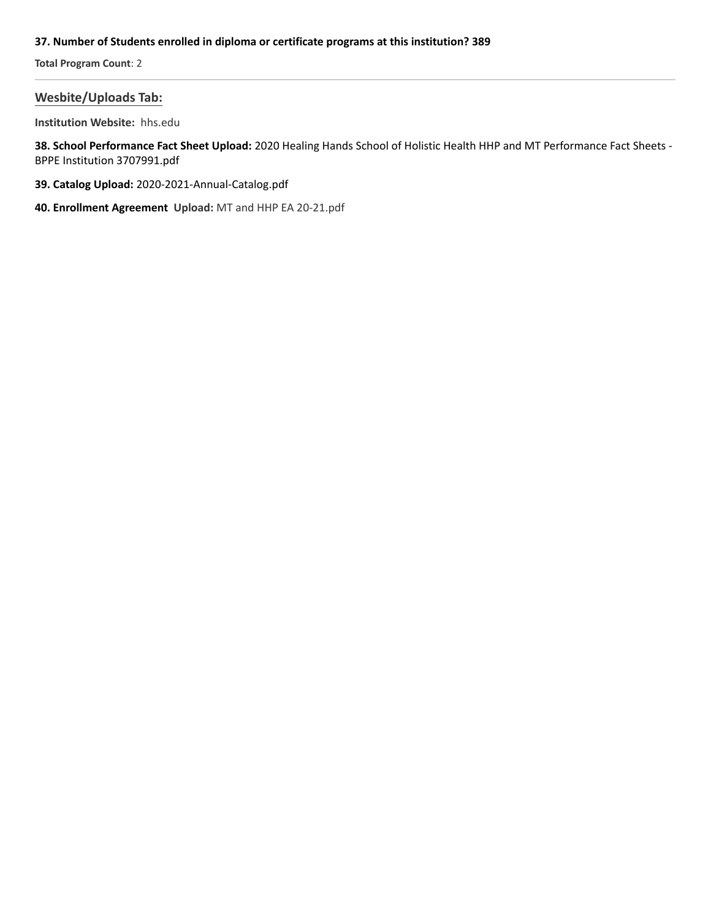#### **37. Number of Students enrolled in diploma or certificate programs at this institution? 389**

**Total Program Count**: 2

#### **Wesbite/Uploads Tab:**

**Institution Website:**  hhs.edu

**38. School Performance Fact Sheet Upload:** 2020 Healing Hands School of Holistic Health HHP and MT Performance Fact Sheets - BPPE Institution 3707991.pdf

- **39. Catalog Upload:** 2020-2021-Annual-Catalog.pdf
- **40. Enrollment Agreement Upload:** MT and HHP EA 20-21.pdf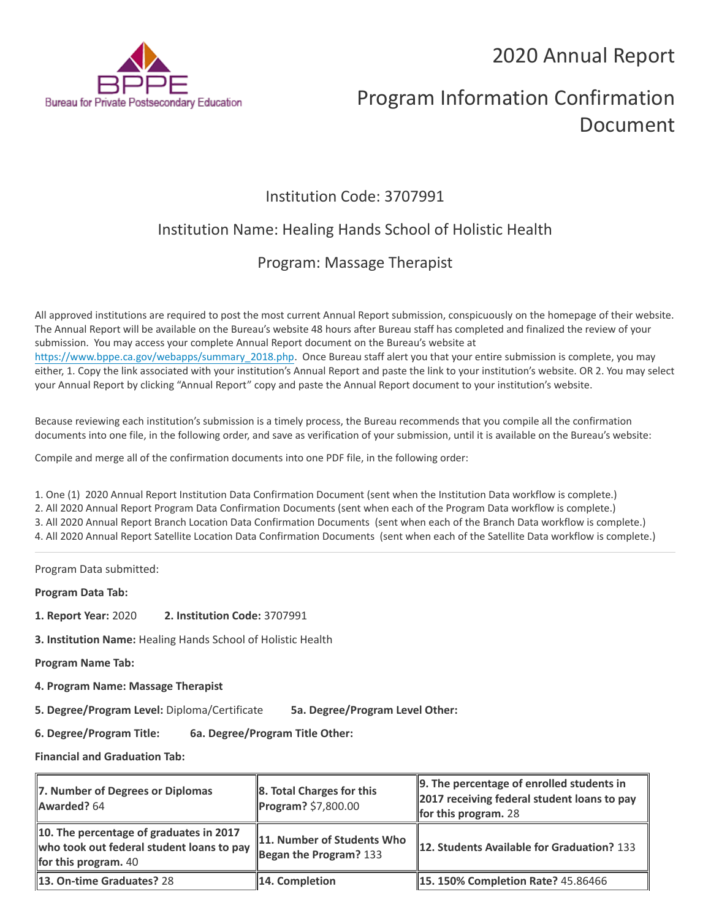2020 Annual Report



# Program Information Confirmation Document

## Institution Code: 3707991

## Institution Name: Healing Hands School of Holistic Health

## Program: Massage Therapist

All approved institutions are required to post the most current Annual Report submission, conspicuously on the homepage of their website. The Annual Report will be available on the Bureau's website 48 hours after Bureau staff has completed and finalized the review of your submission. You may access your complete Annual Report document on the Bureau's website at [https://www.bppe.ca.gov/webapps/summary\\_2018.php.](https://www.bppe.ca.gov/webapps/summary_2018.php) Once Bureau staff alert you that your entire submission is complete, you may either, 1. Copy the link associated with your institution's Annual Report and paste the link to your institution's website. OR 2. You may select your Annual Report by clicking "Annual Report" copy and paste the Annual Report document to your institution's website.

Because reviewing each institution's submission is a timely process, the Bureau recommends that you compile all the confirmation documents into one file, in the following order, and save as verification of your submission, until it is available on the Bureau's website:

Compile and merge all of the confirmation documents into one PDF file, in the following order:

1. One (1) 2020 Annual Report Institution Data Confirmation Document (sent when the Institution Data workflow is complete.) 2. All 2020 Annual Report Program Data Confirmation Documents (sent when each of the Program Data workflow is complete.) 3. All 2020 Annual Report Branch Location Data Confirmation Documents (sent when each of the Branch Data workflow is complete.) 4. All 2020 Annual Report Satellite Location Data Confirmation Documents (sent when each of the Satellite Data workflow is complete.)

Program Data submitted:

**Program Data Tab:**

- **1. Report Year:** 2020 **2. Institution Code:** 3707991
- **3. Institution Name:** Healing Hands School of Holistic Health

**Program Name Tab:**

**4. Program Name: Massage Therapist** 

**5. Degree/Program Level:** Diploma/Certificate **5a. Degree/Program Level Other:**

**6. Degree/Program Title: 6a. Degree/Program Title Other:**

**Financial and Graduation Tab:**

| 7. Number of Degrees or Diplomas<br>Awarded? 64                                                                     | 8. Total Charges for this<br>Program? \$7,800.00       | $\parallel$ 9. The percentage of enrolled students in<br>2017 receiving federal student loans to pay<br><b>for this program.</b> 28 |
|---------------------------------------------------------------------------------------------------------------------|--------------------------------------------------------|-------------------------------------------------------------------------------------------------------------------------------------|
| 10. The percentage of graduates in 2017<br>who took out federal student loans to pay<br><b>for this program.</b> 40 | 11. Number of Students Who<br>Began the Program? $133$ | <b>12. Students Available for Graduation? 133</b>                                                                                   |
| 13. On-time Graduates? 28                                                                                           | 14. Completion                                         | <b>15. 150% Completion Rate? 45.86466</b>                                                                                           |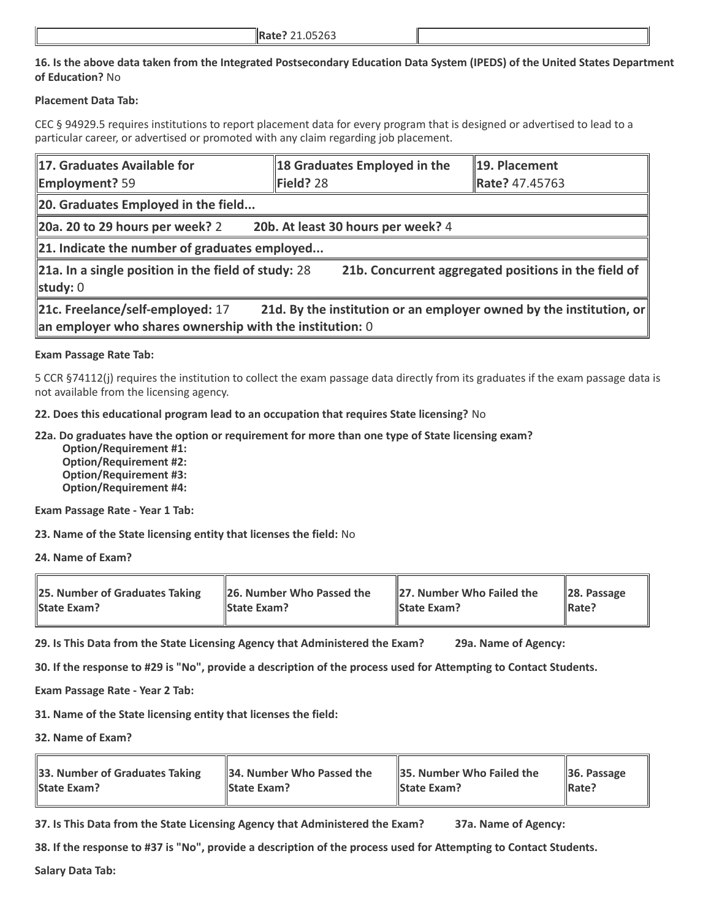#### **16. Is the above data taken from the Integrated Postsecondary Education Data System (IPEDS) of the United States Department of Education?** No

#### **Placement Data Tab:**

CEC § 94929.5 requires institutions to report placement data for every program that is designed or advertised to lead to a particular career, or advertised or promoted with any claim regarding job placement.

| 17. Graduates Available for<br><b>Employment?</b> 59                                           | 18 Graduates Employed in the<br>Field? 28                           | 19. Placement<br>Rate? 47.45763                      |  |  |
|------------------------------------------------------------------------------------------------|---------------------------------------------------------------------|------------------------------------------------------|--|--|
| 20. Graduates Employed in the field                                                            |                                                                     |                                                      |  |  |
| 20a. 20 to 29 hours per week? 2                                                                | 20b. At least 30 hours per week? 4                                  |                                                      |  |  |
| $\ $ 21. Indicate the number of graduates employed                                             |                                                                     |                                                      |  |  |
| 21a. In a single position in the field of study: 28<br>study: 0                                |                                                                     | 21b. Concurrent aggregated positions in the field of |  |  |
| 21c. Freelance/self-employed: 17<br>an employer who shares ownership with the institution: $0$ | 21d. By the institution or an employer owned by the institution, or |                                                      |  |  |

#### **Exam Passage Rate Tab:**

5 CCR §74112(j) requires the institution to collect the exam passage data directly from its graduates if the exam passage data is not available from the licensing agency.

**22. Does this educational program lead to an occupation that requires State licensing?** No

**22a. Do graduates have the option or requirement for more than one type of State licensing exam?**

 **Option/Requirement #1: Option/Requirement #2: Option/Requirement #3: Option/Requirement #4:**

**Exam Passage Rate - Year 1 Tab:**

**23. Name of the State licensing entity that licenses the field:** No

**24. Name of Exam?**

| <b>25. Number of Graduates Taking</b> | 26. Number Who Passed the | 27. Number Who Failed the | $\ $ 28. Passage |
|---------------------------------------|---------------------------|---------------------------|------------------|
| <b>State Exam?</b>                    | <b>State Exam?</b>        | <b>State Exam?</b>        | <b>IRate?</b>    |

**29. Is This Data from the State Licensing Agency that Administered the Exam? 29a. Name of Agency:**

**30. If the response to #29 is "No", provide a description of the process used for Attempting to Contact Students.**

**Exam Passage Rate - Year 2 Tab:**

**31. Name of the State licensing entity that licenses the field:**

**32. Name of Exam?**

| 33. Number of Graduates Taking | 34. Number Who Passed the | 35. Number Who Failed the | $\parallel$ 36. Passage |
|--------------------------------|---------------------------|---------------------------|-------------------------|
| <b>State Exam?</b>             | <b>IState Exam?</b>       | <b>State Exam?</b>        | $\parallel$ Rate?       |

**37. Is This Data from the State Licensing Agency that Administered the Exam? 37a. Name of Agency:**

**38. If the response to #37 is "No", provide a description of the process used for Attempting to Contact Students.** 

**Salary Data Tab:**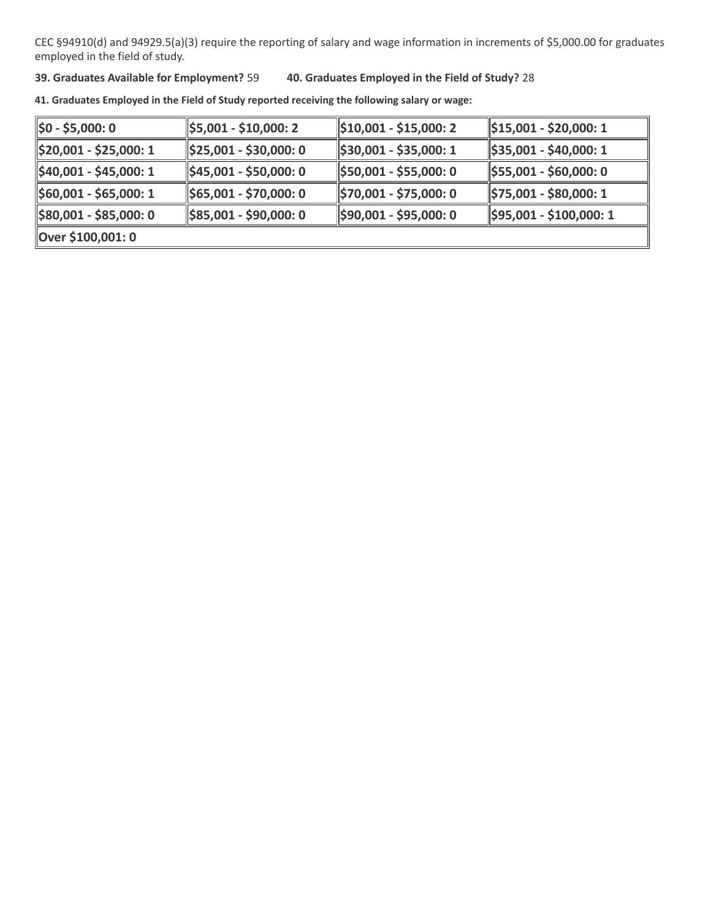CEC §94910(d) and 94929.5(a)(3) require the reporting of salary and wage information in increments of \$5,000.00 for graduates employed in the field of study.

#### **39. Graduates Available for Employment?** 59 **40. Graduates Employed in the Field of Study?** 28

**41. Graduates Employed in the Field of Study reported receiving the following salary or wage:**

| ∥\$0 - \$5,000: 0      | \$5,001 - \$10,000: 2                | $ \$10,001 - $15,000:2$ | $\parallel$ \$15,001 - \$20,000: 1   |
|------------------------|--------------------------------------|-------------------------|--------------------------------------|
| \$20,001 - \$25,000: 1 | $\parallel$ \$25,001 - \$30,000: 0   | \$30,001 - \$35,000: 1  | \$35,001 - \$40,000: 1               |
| \$40,001 - \$45,000: 1 | $\frac{1}{2}$ \$45,001 - \$50,000: 0 | \$50,001 - \$55,000: 0  | $\frac{1}{2}$ \$55,001 - \$60,000: 0 |
| \$60,001 - \$65,000: 1 | \$65,001 - \$70,000: 0               | \$70,001 - \$75,000: 0  | \$75,001 - \$80,000: 1               |
| \$80,001 - \$85,000: 0 | $\frac{1}{2}$ \$85,001 - \$90,000: 0 | \$90,001 - \$95,000: 0  | \$95,001 - \$100,000: 1              |
| Over \$100,001: 0      |                                      |                         |                                      |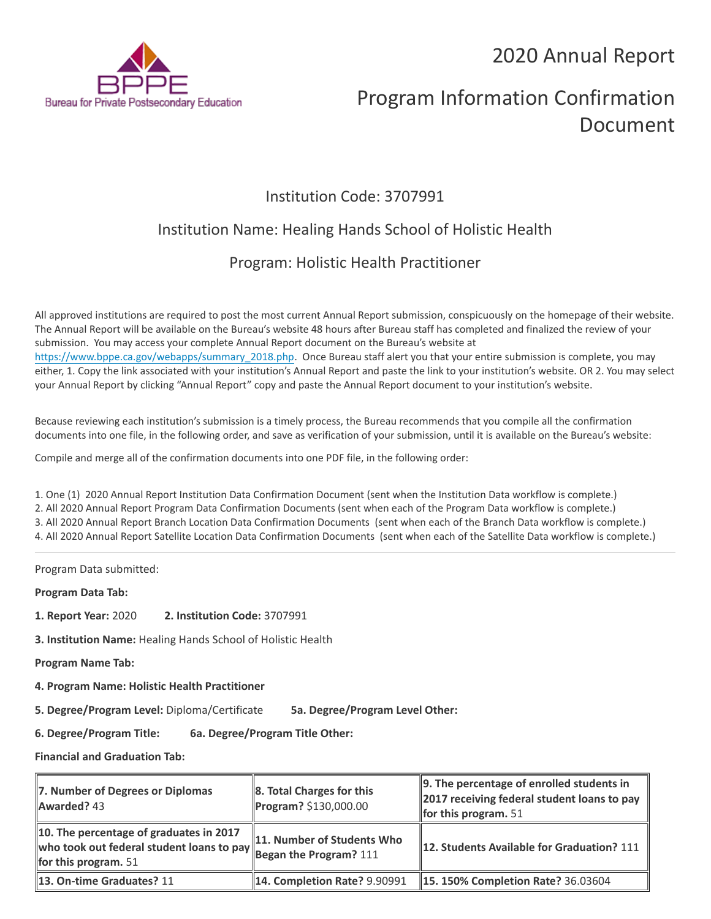2020 Annual Report



# Program Information Confirmation Document

## Institution Code: 3707991

## Institution Name: Healing Hands School of Holistic Health

## Program: Holistic Health Practitioner

All approved institutions are required to post the most current Annual Report submission, conspicuously on the homepage of their website. The Annual Report will be available on the Bureau's website 48 hours after Bureau staff has completed and finalized the review of your submission. You may access your complete Annual Report document on the Bureau's website at [https://www.bppe.ca.gov/webapps/summary\\_2018.php.](https://www.bppe.ca.gov/webapps/summary_2018.php) Once Bureau staff alert you that your entire submission is complete, you may either, 1. Copy the link associated with your institution's Annual Report and paste the link to your institution's website. OR 2. You may select your Annual Report by clicking "Annual Report" copy and paste the Annual Report document to your institution's website.

Because reviewing each institution's submission is a timely process, the Bureau recommends that you compile all the confirmation documents into one file, in the following order, and save as verification of your submission, until it is available on the Bureau's website:

Compile and merge all of the confirmation documents into one PDF file, in the following order:

1. One (1) 2020 Annual Report Institution Data Confirmation Document (sent when the Institution Data workflow is complete.) 2. All 2020 Annual Report Program Data Confirmation Documents (sent when each of the Program Data workflow is complete.) 3. All 2020 Annual Report Branch Location Data Confirmation Documents (sent when each of the Branch Data workflow is complete.) 4. All 2020 Annual Report Satellite Location Data Confirmation Documents (sent when each of the Satellite Data workflow is complete.)

Program Data submitted:

**Program Data Tab:**

- **1. Report Year:** 2020 **2. Institution Code:** 3707991
- **3. Institution Name:** Healing Hands School of Holistic Health

**Program Name Tab:**

**4. Program Name: Holistic Health Practitioner** 

**5. Degree/Program Level:** Diploma/Certificate **5a. Degree/Program Level Other:**

**6. Degree/Program Title: 6a. Degree/Program Title Other:**

**Financial and Graduation Tab:**

| 7. Number of Degrees or Diplomas<br><b>Awarded?</b> 43            | $\ $ 8. Total Charges for this<br>Program? \$130,000.00 | $\parallel$ 9. The percentage of enrolled students in<br>2017 receiving federal student loans to pay<br>for this program. $51$ |
|-------------------------------------------------------------------|---------------------------------------------------------|--------------------------------------------------------------------------------------------------------------------------------|
| 10. The percentage of graduates in 2017<br>for this program. $51$ | 11. Number of Students Who                              | 112. Students Available for Graduation? 111                                                                                    |
| 13. On-time Graduates? 11                                         | <b>14. Completion Rate? 9.90991</b>                     | <b>15. 150% Completion Rate? 36.03604</b>                                                                                      |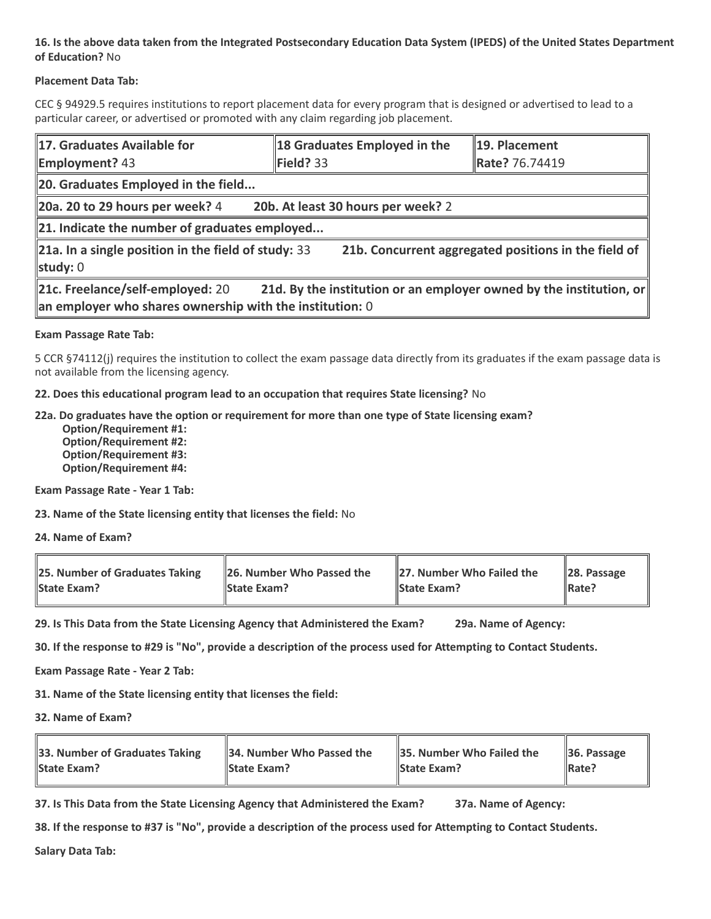#### **16. Is the above data taken from the Integrated Postsecondary Education Data System (IPEDS) of the United States Department of Education?** No

#### **Placement Data Tab:**

CEC § 94929.5 requires institutions to report placement data for every program that is designed or advertised to lead to a particular career, or advertised or promoted with any claim regarding job placement.

| 17. Graduates Available for<br><b>Employment?</b> 43                                                                           | 18 Graduates Employed in the<br>Field? $33$                         | 19. Placement<br>Rate? 76.74419 |  |  |
|--------------------------------------------------------------------------------------------------------------------------------|---------------------------------------------------------------------|---------------------------------|--|--|
| 20. Graduates Employed in the field                                                                                            |                                                                     |                                 |  |  |
| 20a. 20 to 29 hours per week? $4$                                                                                              | 20b. At least 30 hours per week? 2                                  |                                 |  |  |
| 21. Indicate the number of graduates employed                                                                                  |                                                                     |                                 |  |  |
| $\ $ 21a. In a single position in the field of study: 33<br>21b. Concurrent aggregated positions in the field of<br>study: $0$ |                                                                     |                                 |  |  |
| 21c. Freelance/self-employed: 20<br>an employer who shares ownership with the institution: $0$                                 | 21d. By the institution or an employer owned by the institution, or |                                 |  |  |

#### **Exam Passage Rate Tab:**

5 CCR §74112(j) requires the institution to collect the exam passage data directly from its graduates if the exam passage data is not available from the licensing agency.

**22. Does this educational program lead to an occupation that requires State licensing?** No

#### **22a. Do graduates have the option or requirement for more than one type of State licensing exam?**

 **Option/Requirement #1: Option/Requirement #2: Option/Requirement #3: Option/Requirement #4:**

**Exam Passage Rate - Year 1 Tab:**

**23. Name of the State licensing entity that licenses the field:** No

**24. Name of Exam?**

| 25. Number of Graduates Taking | 26. Number Who Passed the | 27. Number Who Failed the | $\ $ 28. Passage |
|--------------------------------|---------------------------|---------------------------|------------------|
| <b>State Exam?</b>             | <b>State Exam?</b>        | <b>State Exam?</b>        | Rate?            |

**29. Is This Data from the State Licensing Agency that Administered the Exam? 29a. Name of Agency:**

**30. If the response to #29 is "No", provide a description of the process used for Attempting to Contact Students.**

**Exam Passage Rate - Year 2 Tab:**

**31. Name of the State licensing entity that licenses the field:**

**32. Name of Exam?**

| 33. Number of Graduates Taking | 34. Number Who Passed the | <b>35. Number Who Failed the</b> | $\parallel$ 36. Passage |
|--------------------------------|---------------------------|----------------------------------|-------------------------|
| <b>State Exam?</b>             | <b>State Exam?</b>        | <b>State Exam?</b>               | $\parallel$ Rate?       |

**37. Is This Data from the State Licensing Agency that Administered the Exam? 37a. Name of Agency:**

**38. If the response to #37 is "No", provide a description of the process used for Attempting to Contact Students.** 

**Salary Data Tab:**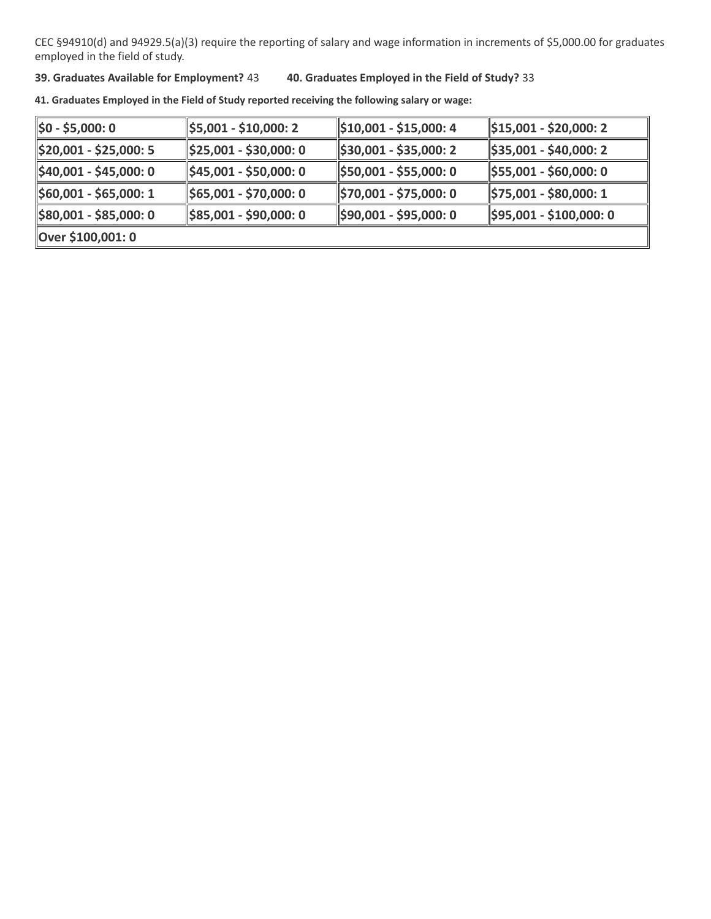CEC §94910(d) and 94929.5(a)(3) require the reporting of salary and wage information in increments of \$5,000.00 for graduates employed in the field of study.

#### **39. Graduates Available for Employment?** 43 **40. Graduates Employed in the Field of Study?** 33

**41. Graduates Employed in the Field of Study reported receiving the following salary or wage:**

| ∥\$0 - \$5,000: 0                  | \$5,001 - \$10,000: 2                | $\parallel$ \$10,001 - \$15,000: 4 | $\parallel$ \$15,001 - \$20,000: 2   |
|------------------------------------|--------------------------------------|------------------------------------|--------------------------------------|
| \$20,001 - \$25,000: 5             | $\parallel$ \$25,001 - \$30,000: 0   | \$30,001 - \$35,000: 2             | $ \$35,001 - $40,000:2$              |
| $\parallel$ \$40,001 - \$45,000: 0 | $\frac{1}{2}$ \$45,001 - \$50,000: 0 | \$50,001 - \$55,000: 0             | $\frac{1}{2}$ \$55,001 - \$60,000: 0 |
| \$60,001 - \$65,000: 1             | \$65,001 - \$70,000: 0               | \$70,001 - \$75,000: 0             | \$75,001 - \$80,000: 1               |
| \$80,001 - \$85,000: 0             | $\frac{1}{2}$ \$85,001 - \$90,000: 0 | \$90,001 - \$95,000: 0             | \$95,001 - \$100,000: 0              |
| Over \$100,001: 0                  |                                      |                                    |                                      |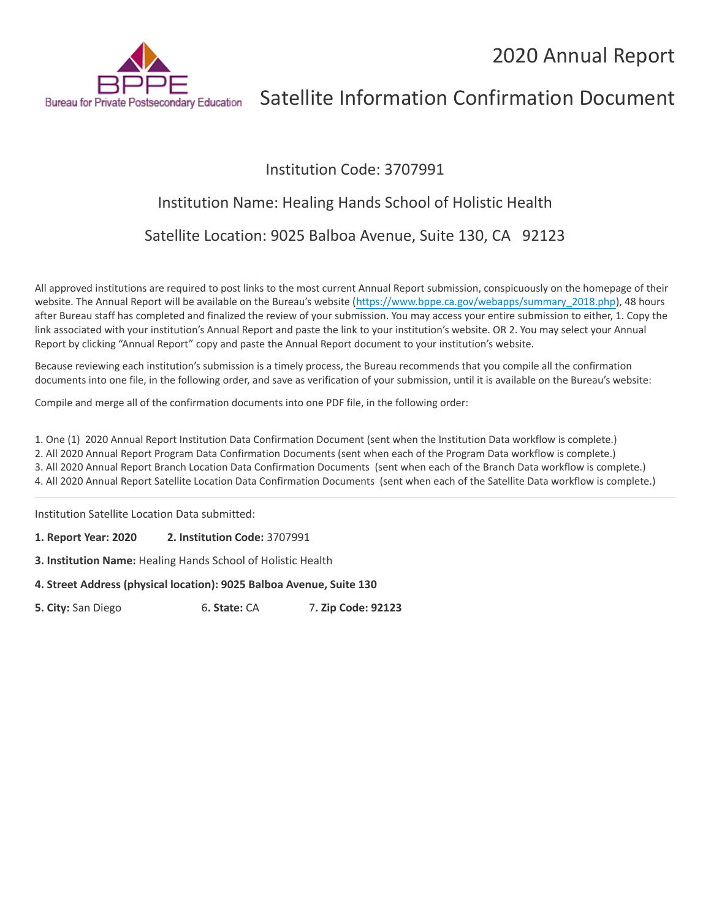

# Satellite Information Confirmation Document

### Institution Code: 3707991

## Institution Name: Healing Hands School of Holistic Health

Satellite Location: 9025 Balboa Avenue, Suite 130, CA 92123

All approved institutions are required to post links to the most current Annual Report submission, conspicuously on the homepage of their website. The Annual Report will be available on the Bureau's website ([https://www.bppe.ca.gov/webapps/summary\\_2018.php\)](https://www.bppe.ca.gov/webapps/summary_2018.php), 48 hours after Bureau staff has completed and finalized the review of your submission. You may access your entire submission to either, 1. Copy the link associated with your institution's Annual Report and paste the link to your institution's website. OR 2. You may select your Annual Report by clicking "Annual Report" copy and paste the Annual Report document to your institution's website.

Because reviewing each institution's submission is a timely process, the Bureau recommends that you compile all the confirmation documents into one file, in the following order, and save as verification of your submission, until it is available on the Bureau's website:

Compile and merge all of the confirmation documents into one PDF file, in the following order:

1. One (1) 2020 Annual Report Institution Data Confirmation Document (sent when the Institution Data workflow is complete.)

2. All 2020 Annual Report Program Data Confirmation Documents (sent when each of the Program Data workflow is complete.)

3. All 2020 Annual Report Branch Location Data Confirmation Documents (sent when each of the Branch Data workflow is complete.) 4. All 2020 Annual Report Satellite Location Data Confirmation Documents (sent when each of the Satellite Data workflow is complete.)

Institution Satellite Location Data submitted:

**1. Report Year: 2020 2. Institution Code:** 3707991

**3. Institution Name:** Healing Hands School of Holistic Health

**4. Street Address (physical location): 9025 Balboa Avenue, Suite 130**

**5. City:** San Diego 6**. State:** CA 7**. Zip Code: 92123**